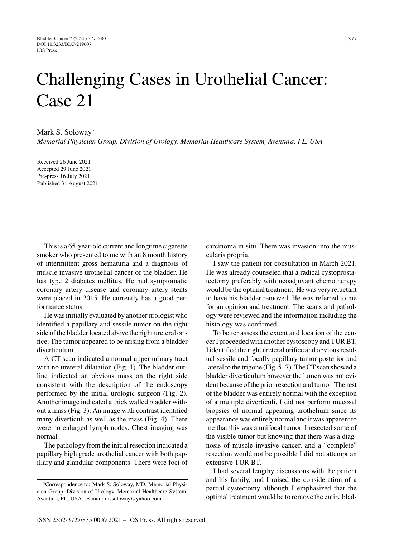## Challenging Cases in Urothelial Cancer: Case 21

Mark S. Soloway<sup>∗</sup>

*Memorial Physician Group, Division of Urology, Memorial Healthcare System, Aventura, FL, USA*

Received 26 June 2021 Accepted 29 June 2021 Pre-press 16 July 2021 Published 31 August 2021

This is a 65-year-old current and longtime cigarette smoker who presented to me with an 8 month history of intermittent gross hematuria and a diagnosis of muscle invasive urothelial cancer of the bladder. He has type 2 diabetes mellitus. He had symptomatic coronary artery disease and coronary artery stents were placed in 2015. He currently has a good performance status.

He was initially evaluated by another urologist who identified a papillary and sessile tumor on the right side of the bladder located above the right ureteral orifice. The tumor appeared to be arising from a bladder diverticulum.

A CT scan indicated a normal upper urinary tract with no ureteral dilatation (Fig. 1). The bladder outline indicated an obvious mass on the right side consistent with the description of the endoscopy performed by the initial urologic surgeon (Fig. 2). Another image indicated a thick walled bladder without a mass (Fig. 3). An image with contrast identified many diverticuli as well as the mass (Fig. 4). There were no enlarged lymph nodes. Chest imaging was normal.

The pathology from the initial resection indicated a papillary high grade urothelial cancer with both papillary and glandular components. There were foci of carcinoma in situ. There was invasion into the muscularis propria.

I saw the patient for consultation in March 2021. He was already counseled that a radical cystoprostatectomy preferably with neoadjuvant chemotherapy would be the optimal treatment. He was very reluctant to have his bladder removed. He was referred to me for an opinion and treatment. The scans and pathology were reviewed and the information including the histology was confirmed.

To better assess the extent and location of the cancer I proceeded with another cystoscopy and TUR BT. I identified the right ureteral orifice and obvious residual sessile and focally papillary tumor posterior and lateral to the trigone (Fig. 5–7). The CT scan showed a bladder diverticulum however the lumen was not evident because of the prior resection and tumor. The rest of the bladder was entirely normal with the exception of a multiple diverticuli. I did not perform mucosal biopsies of normal appearing urothelium since its appearance was entirely normal and it was apparent to me that this was a unifocal tumor. I resected some of the visible tumor but knowing that there was a diagnosis of muscle invasive cancer, and a "complete" resection would not be possible I did not attempt an extensive TUR BT.

I had several lengthy discussions with the patient and his family, and I raised the consideration of a partial cystectomy although I emphasized that the optimal treatment would be to remove the entire blad-

<sup>∗</sup>Correspondence to: Mark S. Soloway, MD, Memorial Physician Group, Division of Urology, Memorial Healthcare System, Aventura, FL, USA. E-mail: [mssoloway@yahoo.com](mailto:mssoloway@yahoo.com).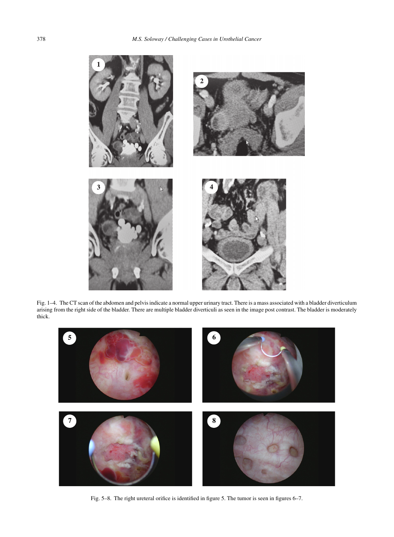

Fig. 1–4. The CT scan of the abdomen and pelvis indicate a normal upper urinary tract. There is a mass associated with a bladder diverticulum arising from the right side of the bladder. There are multiple bladder diverticuli as seen in the image post contrast. The bladder is moderately thick.



Fig. 5–8. The right ureteral orifice is identified in figure 5. The tumor is seen in figures 6–7.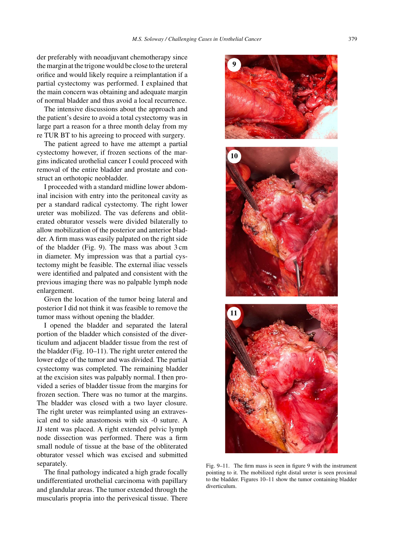**9**

der preferably with neoadjuvant chemotherapy since the margin at the trigone would be close to the ureteral orifice and would likely require a reimplantation if a partial cystectomy was performed. I explained that the main concern was obtaining and adequate margin of normal bladder and thus avoid a local recurrence.

The intensive discussions about the approach and the patient's desire to avoid a total cystectomy was in large part a reason for a three month delay from my re TUR BT to his agreeing to proceed with surgery.

The patient agreed to have me attempt a partial cystectomy however, if frozen sections of the margins indicated urothelial cancer I could proceed with removal of the entire bladder and prostate and construct an orthotopic neobladder.

I proceeded with a standard midline lower abdominal incision with entry into the peritoneal cavity as per a standard radical cystectomy. The right lower ureter was mobilized. The vas deferens and obliterated obturator vessels were divided bilaterally to allow mobilization of the posterior and anterior bladder. A firm mass was easily palpated on the right side of the bladder (Fig. 9). The mass was about 3 cm in diameter. My impression was that a partial cystectomy might be feasible. The external iliac vessels were identified and palpated and consistent with the previous imaging there was no palpable lymph node enlargement.

Given the location of the tumor being lateral and posterior I did not think it was feasible to remove the tumor mass without opening the bladder.

I opened the bladder and separated the lateral portion of the bladder which consisted of the diverticulum and adjacent bladder tissue from the rest of the bladder (Fig. 10–11). The right ureter entered the lower edge of the tumor and was divided. The partial cystectomy was completed. The remaining bladder at the excision sites was palpably normal. I then provided a series of bladder tissue from the margins for frozen section. There was no tumor at the margins. The bladder was closed with a two layer closure. The right ureter was reimplanted using an extravesical end to side anastomosis with six -0 suture. A JJ stent was placed. A right extended pelvic lymph node dissection was performed. There was a firm small nodule of tissue at the base of the obliterated obturator vessel which was excised and submitted separately.

The final pathology indicated a high grade focally undifferentiated urothelial carcinoma with papillary and glandular areas. The tumor extended through the muscularis propria into the perivesical tissue. There

**10**

**11**

Fig. 9–11. The firm mass is seen in figure 9 with the instrument pointing to it. The mobilized right distal ureter is seen proximal to the bladder. Figures 10–11 show the tumor containing bladder diverticulum.